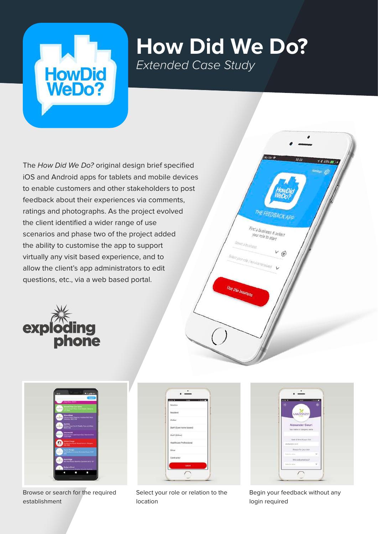

## **How Did We Do?** *Extended Case Study*

The How Did We Do? original design brief specified iOS and Android apps for tablets and mobile devices to enable customers and other stakeholders to post feedback about their experiences via comments, ratings and photographs. As the project evolved the client identified a wider range of use scenarios and phase two of the project added the ability to customise the app to support virtually any visit based experience, and to allow the client's app administrators to edit questions, etc., via a web based portal.





Browse or search for the required establishment

| $-107 -$<br><b>WE ARRESTED</b><br>14.86 |  |
|-----------------------------------------|--|
| Relative                                |  |
| Resident                                |  |
| Visitor                                 |  |
| Staff (Care home based)<br>an ya shir   |  |
| Staff (Other)<br>691 ISBN 1977          |  |
| Healthcare Professional                 |  |
| Other                                   |  |
| Contractor                              |  |
| Cancel                                  |  |

Select your role or relation to the location

| $+2V$ | $_{\text{H22}}$<br># R SPL #<br>薙<br>唧 |              |  |  |
|-------|----------------------------------------|--------------|--|--|
|       |                                        |              |  |  |
|       | <b>LARCHWOOD</b>                       |              |  |  |
|       | <b>Alexander Court</b>                 |              |  |  |
|       | Your name or company name              |              |  |  |
|       | Date & time of your visit              |              |  |  |
|       | 14/10/2010 12:37                       |              |  |  |
|       | Reason for your visit                  |              |  |  |
|       | faintin rever                          | ü            |  |  |
|       | Whit welcomed year?                    |              |  |  |
|       | Telect is value.                       | $\checkmark$ |  |  |

Find a business & select your role to stan

Begin your feedback without any login required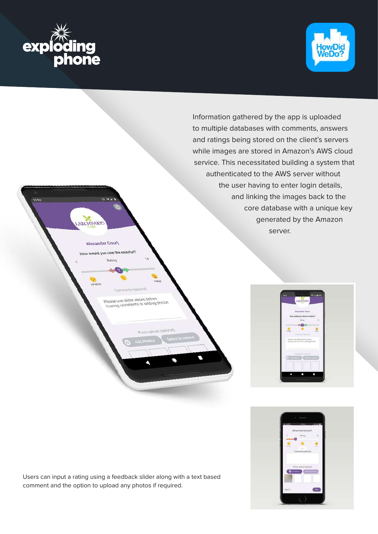



Information gathered by the app is uploaded to multiple databases with comments, answers and ratings being stored on the client's servers while images are stored in Amazon's AWS cloud service. This necessitated building a system that authenticated to the AWS server without the user having to enter login details, and linking the images back to the core database with a unique key generated by the Amazon server.

please use slider above before<br>leaving comments or adding photos

Terrottorol Ave

**TEDWITZ** 

Alexander Court

would you rate the exterior





Users can input a rating using a feedback slider along with a text based comment and the option to upload any photos if required.